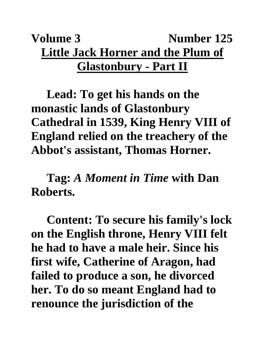## **Volume 3** Number 125 **Little Jack Horner and the Plum of Glastonbury - Part II**

**Lead: To get his hands on the monastic lands of Glastonbury Cathedral in 1539, King Henry VIII of England relied on the treachery of the Abbot's assistant, Thomas Horner.** 

**Tag:** *A Moment in Time* **with Dan Roberts.**

**Content: To secure his family's lock on the English throne, Henry VIII felt he had to have a male heir. Since his first wife, Catherine of Aragon, had failed to produce a son, he divorced her. To do so meant England had to renounce the jurisdiction of the**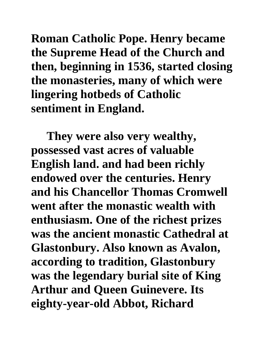**Roman Catholic Pope. Henry became the Supreme Head of the Church and then, beginning in 1536, started closing the monasteries, many of which were lingering hotbeds of Catholic sentiment in England.** 

**They were also very wealthy, possessed vast acres of valuable English land. and had been richly endowed over the centuries. Henry and his Chancellor Thomas Cromwell went after the monastic wealth with enthusiasm. One of the richest prizes was the ancient monastic Cathedral at Glastonbury. Also known as Avalon, according to tradition, Glastonbury was the legendary burial site of King Arthur and Queen Guinevere. Its eighty-year-old Abbot, Richard**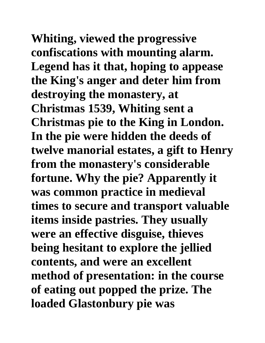**Whiting, viewed the progressive confiscations with mounting alarm. Legend has it that, hoping to appease the King's anger and deter him from destroying the monastery, at Christmas 1539, Whiting sent a Christmas pie to the King in London. In the pie were hidden the deeds of twelve manorial estates, a gift to Henry from the monastery's considerable fortune. Why the pie? Apparently it was common practice in medieval times to secure and transport valuable items inside pastries. They usually were an effective disguise, thieves being hesitant to explore the jellied contents, and were an excellent method of presentation: in the course of eating out popped the prize. The loaded Glastonbury pie was**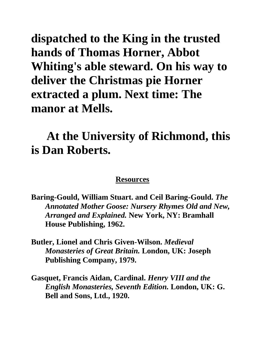**dispatched to the King in the trusted hands of Thomas Horner, Abbot Whiting's able steward. On his way to deliver the Christmas pie Horner extracted a plum. Next time: The manor at Mells.**

## **At the University of Richmond, this is Dan Roberts.**

## **Resources**

**Baring-Gould, William Stuart. and Ceil Baring-Gould.** *The Annotated Mother Goose: Nursery Rhymes Old and New, Arranged and Explained.* **New York, NY: Bramhall House Publishing, 1962.**

- **Butler, Lionel and Chris Given-Wilson.** *Medieval Monasteries of Great Britain.* **London, UK: Joseph Publishing Company, 1979.**
- **Gasquet, Francis Aidan, Cardinal.** *Henry VIII and the English Monasteries, Seventh Edition.* **London, UK: G. Bell and Sons, Ltd., 1920.**